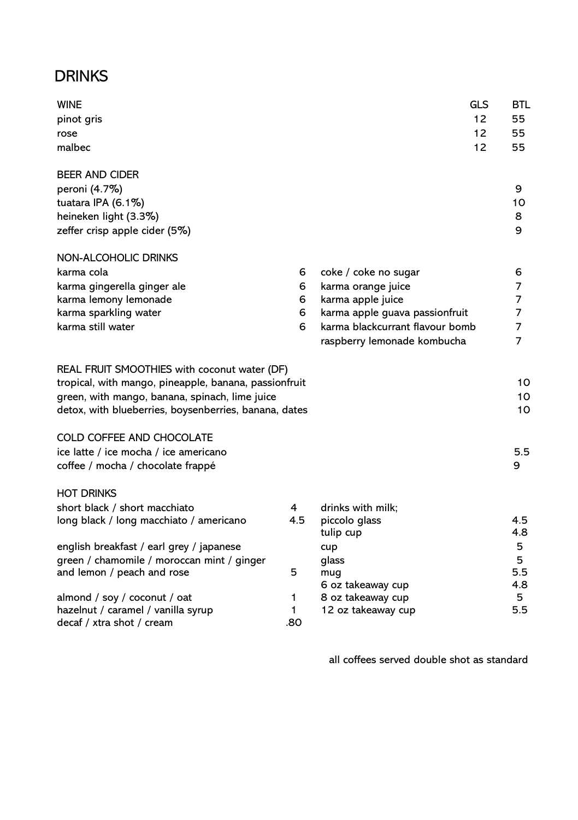## **DRINKS**

| <b>WINE</b>                                           |              | <b>GLS</b>                             | BTL       |
|-------------------------------------------------------|--------------|----------------------------------------|-----------|
| pinot gris                                            |              | 12                                     | 55        |
| rose                                                  |              | 12                                     | 55        |
| malbec                                                |              | 12                                     | 55        |
| <b>BEER AND CIDER</b>                                 |              |                                        |           |
| peroni (4.7%)                                         |              |                                        | 9         |
| tuatara IPA (6.1%)                                    |              |                                        | 10        |
| heineken light (3.3%)                                 |              |                                        | 8         |
| zeffer crisp apple cider (5%)                         |              |                                        | 9         |
| NON-ALCOHOLIC DRINKS                                  |              |                                        |           |
| karma cola                                            | 6            | coke / coke no sugar                   | 6         |
| karma gingerella ginger ale                           | 6            | karma orange juice                     | 7         |
| karma lemony lemonade                                 | 6            | karma apple juice                      | 7         |
| karma sparkling water                                 | 6            | karma apple guava passionfruit         | 7         |
| karma still water                                     | 6            | karma blackcurrant flavour bomb        | 7         |
|                                                       |              | raspberry lemonade kombucha            | 7         |
| REAL FRUIT SMOOTHIES with coconut water (DF)          |              |                                        |           |
| tropical, with mango, pineapple, banana, passionfruit |              |                                        | 10        |
| green, with mango, banana, spinach, lime juice        |              |                                        | 10        |
| detox, with blueberries, boysenberries, banana, dates |              |                                        | 10        |
| COLD COFFEE AND CHOCOLATE                             |              |                                        |           |
| ice latte / ice mocha / ice americano                 |              |                                        | 5.5       |
| coffee / mocha / chocolate frappé                     |              |                                        | 9         |
| <b>HOT DRINKS</b>                                     |              |                                        |           |
| short black / short macchiato                         | 4            | drinks with milk;                      |           |
| long black / long macchiato / americano               | 4.5          | piccolo glass                          | 4.5       |
|                                                       |              | tulip cup                              | 4.8       |
| english breakfast / earl grey / japanese              |              | cup                                    | 5         |
| green / chamomile / moroccan mint / ginger            |              | glass                                  | 5         |
| and lemon / peach and rose                            | 5            | mug                                    | 5.5       |
| almond / soy / coconut / oat                          | 1            | 6 oz takeaway cup<br>8 oz takeaway cup | 4.8<br>5. |
| hazelnut / caramel / vanilla syrup                    | $\mathbf{1}$ | 12 oz takeaway cup                     | 5.5       |
| decaf / xtra shot / cream                             | .80          |                                        |           |
|                                                       |              |                                        |           |

all coffees served double shot as standard